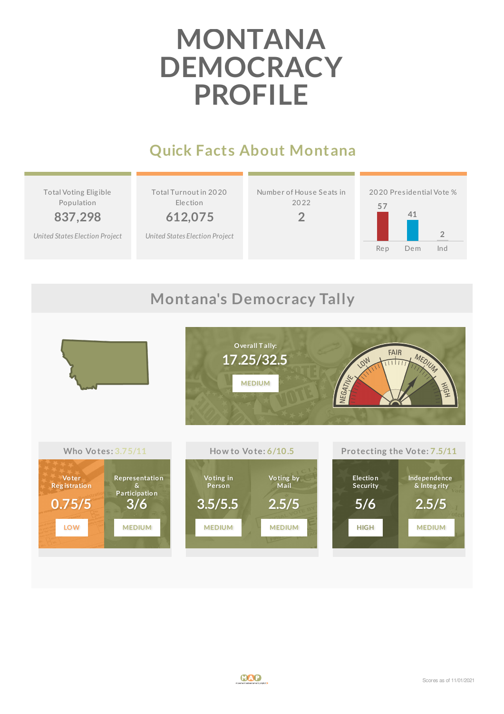# **MONTANA DEMOCRACY PROFILE**

## **Quick Facts About Montana**

Total Voting Elig ible Population

**837,298** *United States [Election](http://www.electproject.org/2020g) Project* Total Turnoutin 20 20 Election

**612,075**

*United States [Election](http://www.electproject.org/2020g) Project*







### **Montana's Democracy Tally**



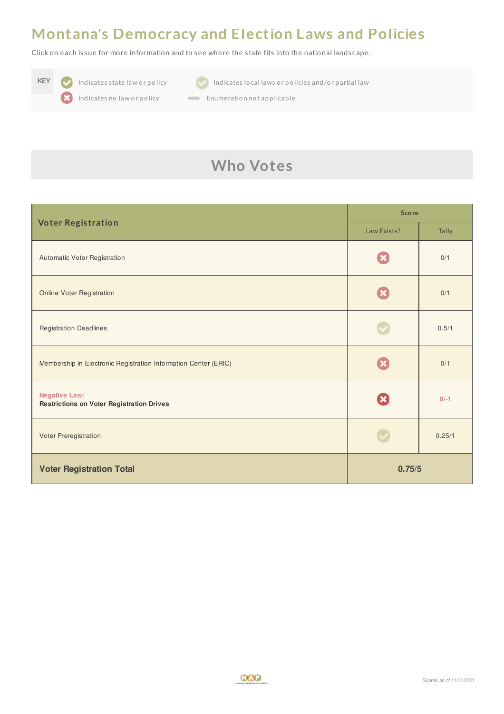#### **Montana's Democracy and Election Laws and Policies**

Click on each is sue for more information and to see where the s tate fits into the national landscape.





**KEY Indicates state law or policy Indicates local laws or policies and/or partial law** 

Indicates no law or policy **Enumeration not applicable** 

# **Who Votes**

| <b>Voter Registration</b>                                                | <b>Score</b> |        |
|--------------------------------------------------------------------------|--------------|--------|
|                                                                          | Law Exists?  | Tally  |
| Automatic Voter Registration                                             |              | 0/1    |
| <b>Online Voter Registration</b>                                         |              | 0/1    |
| <b>Registration Deadlines</b>                                            |              | 0.5/1  |
| Membership in Electronic Registration Information Center (ERIC)          |              | 0/1    |
| <b>Negative Law:</b><br><b>Restrictions on Voter Registration Drives</b> | $\mathbf{x}$ | $0/-1$ |
| Voter Preregistration                                                    |              | 0.25/1 |
| <b>Voter Registration Total</b>                                          | 0.75/5       |        |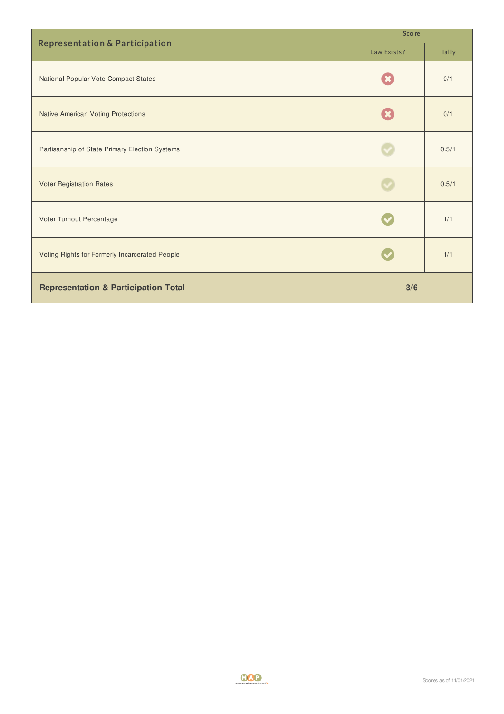| <b>Representation &amp; Participation</b>       | <b>Score</b> |       |
|-------------------------------------------------|--------------|-------|
|                                                 | Law Exists?  | Tally |
| National Popular Vote Compact States            |              | 0/1   |
| <b>Native American Voting Protections</b>       |              | 0/1   |
| Partisanship of State Primary Election Systems  |              | 0.5/1 |
| <b>Voter Registration Rates</b>                 |              | 0.5/1 |
| Voter Turnout Percentage                        |              | 1/1   |
| Voting Rights for Formerly Incarcerated People  |              | 1/1   |
| <b>Representation &amp; Participation Total</b> | 3/6          |       |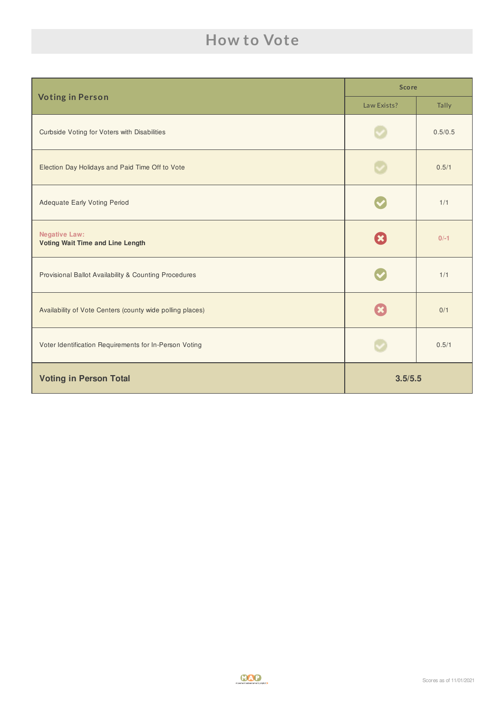## **How to Vote**

| <b>Voting in Person</b>                                         | <b>Score</b> |         |
|-----------------------------------------------------------------|--------------|---------|
|                                                                 | Law Exists?  | Tally   |
| <b>Curbside Voting for Voters with Disabilities</b>             |              | 0.5/0.5 |
| Election Day Holidays and Paid Time Off to Vote                 |              | 0.5/1   |
| <b>Adequate Early Voting Period</b>                             |              | 1/1     |
| <b>Negative Law:</b><br><b>Voting Wait Time and Line Length</b> | $\mathbf x$  | $0/-1$  |
| Provisional Ballot Availability & Counting Procedures           |              | 1/1     |
| Availability of Vote Centers (county wide polling places)       |              | 0/1     |
| Voter Identification Requirements for In-Person Voting          |              | 0.5/1   |
| <b>Voting in Person Total</b>                                   | 3.5/5.5      |         |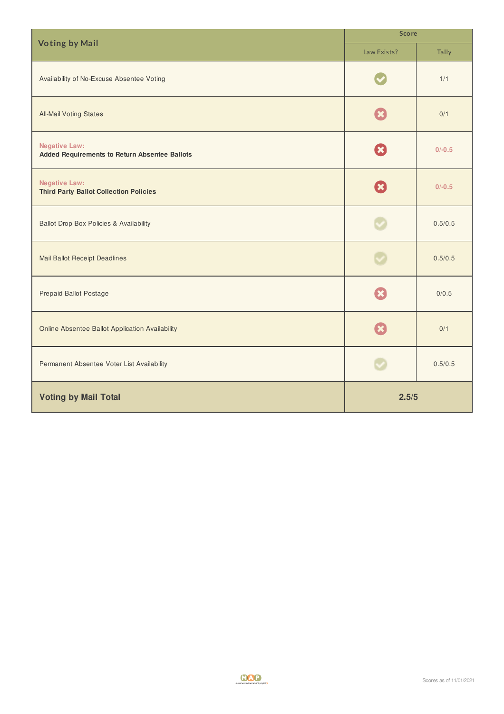| <b>Voting by Mail</b>                                                        | <b>Score</b> |          |
|------------------------------------------------------------------------------|--------------|----------|
|                                                                              | Law Exists?  | Tally    |
| Availability of No-Excuse Absentee Voting                                    |              | 1/1      |
| <b>All-Mail Voting States</b>                                                |              | 0/1      |
| <b>Negative Law:</b><br><b>Added Requirements to Return Absentee Ballots</b> | <b>X</b>     | $0/-0.5$ |
| <b>Negative Law:</b><br><b>Third Party Ballot Collection Policies</b>        | $\mathbf x$  | $0/-0.5$ |
| <b>Ballot Drop Box Policies &amp; Availability</b>                           |              | 0.5/0.5  |
| <b>Mail Ballot Receipt Deadlines</b>                                         |              | 0.5/0.5  |
| <b>Prepaid Ballot Postage</b>                                                |              | 0/0.5    |
| Online Absentee Ballot Application Availability                              |              | 0/1      |
| Permanent Absentee Voter List Availability                                   |              | 0.5/0.5  |
| <b>Voting by Mail Total</b>                                                  | 2.5/5        |          |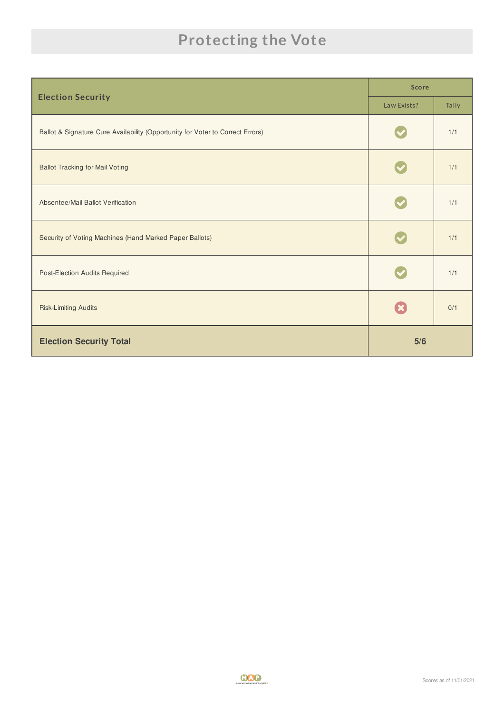# **Protecting the Vote**

|                                                                                | <b>Score</b> |       |
|--------------------------------------------------------------------------------|--------------|-------|
| <b>Election Security</b>                                                       | Law Exists?  | Tally |
| Ballot & Signature Cure Availability (Opportunity for Voter to Correct Errors) |              | 1/1   |
| <b>Ballot Tracking for Mail Voting</b>                                         |              | 1/1   |
| Absentee/Mail Ballot Verification                                              |              | 1/1   |
| Security of Voting Machines (Hand Marked Paper Ballots)                        |              | 1/1   |
| Post-Election Audits Required                                                  |              | 1/1   |
| <b>Risk-Limiting Audits</b>                                                    |              | 0/1   |
| <b>Election Security Total</b>                                                 | 5/6          |       |